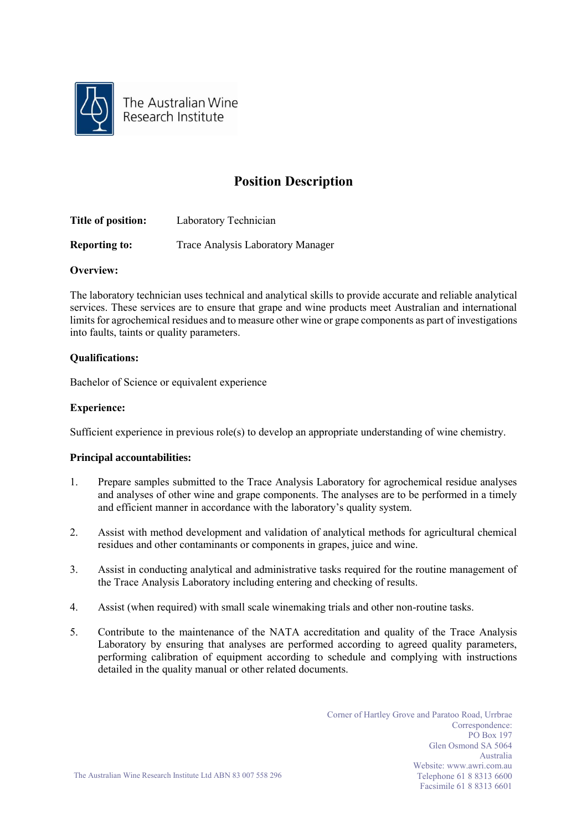

The Australian Wine Research Institute

# **Position Description**

| Title of position:   | Laboratory Technician                    |
|----------------------|------------------------------------------|
| <b>Reporting to:</b> | <b>Trace Analysis Laboratory Manager</b> |

## **Overview:**

The laboratory technician uses technical and analytical skills to provide accurate and reliable analytical services. These services are to ensure that grape and wine products meet Australian and international limits for agrochemical residues and to measure other wine or grape components as part of investigations into faults, taints or quality parameters.

## **Qualifications:**

Bachelor of Science or equivalent experience

## **Experience:**

Sufficient experience in previous role(s) to develop an appropriate understanding of wine chemistry.

#### **Principal accountabilities:**

- 1. Prepare samples submitted to the Trace Analysis Laboratory for agrochemical residue analyses and analyses of other wine and grape components. The analyses are to be performed in a timely and efficient manner in accordance with the laboratory's quality system.
- 2. Assist with method development and validation of analytical methods for agricultural chemical residues and other contaminants or components in grapes, juice and wine.
- 3. Assist in conducting analytical and administrative tasks required for the routine management of the Trace Analysis Laboratory including entering and checking of results.
- 4. Assist (when required) with small scale winemaking trials and other non-routine tasks.
- 5. Contribute to the maintenance of the NATA accreditation and quality of the Trace Analysis Laboratory by ensuring that analyses are performed according to agreed quality parameters, performing calibration of equipment according to schedule and complying with instructions detailed in the quality manual or other related documents.